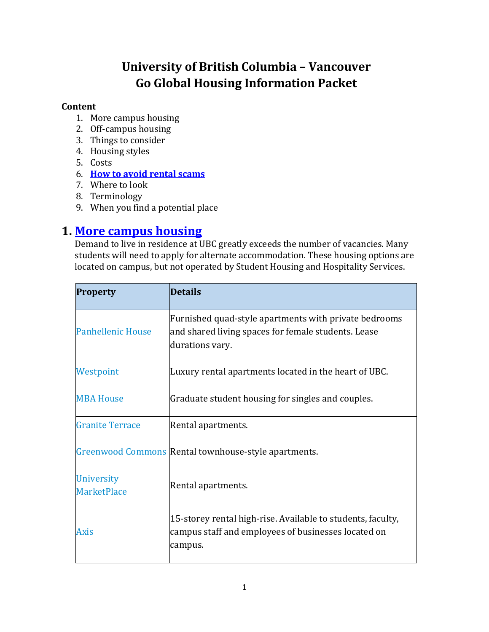# **University of British Columbia – Vancouver Go Global Housing Information Packet**

#### **Content**

- 1. More campus housing
- 2. Off-campus housing
- 3. Things to consider
- 4. Housing styles
- 5. Costs
- 6. **[How to avoid rental scams](http://vancouver.ca/police/crime-prevention/for-individuals/preventing-fraud.html)**
- 7. Where to look
- 8. Terminology
- 9. When you find a potential place

## **1. [More campus housing](http://vancouver.housing.ubc.ca/other-housing/more-campus-housing/)**

Demand to live in residence at UBC greatly exceeds the number of vacancies. Many students will need to apply for alternate accommodation. These housing options are located on campus, but not operated by Student Housing and Hospitality Services.

| <b>Property</b>                         | <b>Details</b>                                                                                                                  |
|-----------------------------------------|---------------------------------------------------------------------------------------------------------------------------------|
| <b>Panhellenic House</b>                | Furnished quad-style apartments with private bedrooms<br>and shared living spaces for female students. Lease<br>durations vary. |
| Westpoint                               | Luxury rental apartments located in the heart of UBC.                                                                           |
| <b>MBA House</b>                        | Graduate student housing for singles and couples.                                                                               |
| <b>Granite Terrace</b>                  | Rental apartments.                                                                                                              |
|                                         | Greenwood Commons Rental townhouse-style apartments.                                                                            |
| <b>University</b><br><b>MarketPlace</b> | Rental apartments.                                                                                                              |
| <b>Axis</b>                             | 15-storey rental high-rise. Available to students, faculty,<br>campus staff and employees of businesses located on<br>campus.   |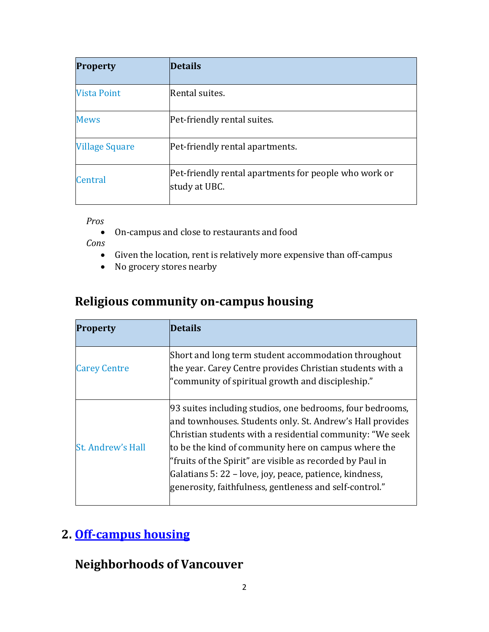| <b>Property</b>       | <b>Details</b>                                                         |
|-----------------------|------------------------------------------------------------------------|
| <b>Vista Point</b>    | Rental suites.                                                         |
| <b>Mews</b>           | Pet-friendly rental suites.                                            |
| <b>Village Square</b> | Pet-friendly rental apartments.                                        |
| Central               | Pet-friendly rental apartments for people who work or<br>study at UBC. |

*Pros*

On-campus and close to restaurants and food

*Cons*

- Given the location, rent is relatively more expensive than off-campus
- No grocery stores nearby

# **Religious community on-campus housing**

| <b>Property</b>          | <b>Details</b>                                                                                                                                                                                                                                                                                                                                                                                                                 |
|--------------------------|--------------------------------------------------------------------------------------------------------------------------------------------------------------------------------------------------------------------------------------------------------------------------------------------------------------------------------------------------------------------------------------------------------------------------------|
| <b>Carey Centre</b>      | Short and long term student accommodation throughout<br>the year. Carey Centre provides Christian students with a<br>"community of spiritual growth and discipleship."                                                                                                                                                                                                                                                         |
| <b>St. Andrew's Hall</b> | 93 suites including studios, one bedrooms, four bedrooms,<br>and townhouses. Students only. St. Andrew's Hall provides<br>Christian students with a residential community: "We seek<br>to be the kind of community here on campus where the<br>"fruits of the Spirit" are visible as recorded by Paul in<br>Galatians 5: 22 – love, joy, peace, patience, kindness,<br>generosity, faithfulness, gentleness and self-control." |

# **2. [Off-campus housing](http://vancouver.housing.ubc.ca/other-housing/off-campus-housing/)**

# **Neighborhoods of Vancouver**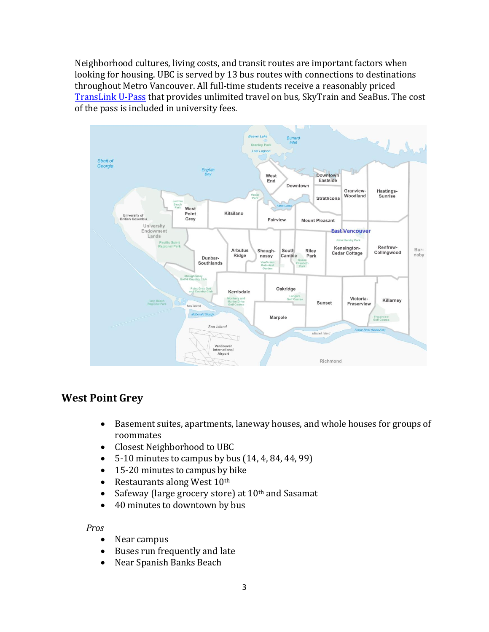Neighborhood cultures, living costs, and transit routes are important factors when looking for housing. UBC is served by 13 bus routes with connections to destinations throughout Metro Vancouver. All full-time students receive a reasonably priced [TransLink U-Pass](https://planning.ubc.ca/vancouver/transportation-planning/u-pass-compass-card) that provides unlimited travel on bus, SkyTrain and SeaBus. The cost of the pass is included in university fees.



## **West Point Grey**

- Basement suites, apartments, laneway houses, and whole houses for groups of roommates
- Closest Neighborhood to UBC
- $\bullet$  5-10 minutes to campus by bus  $(14, 4, 84, 44, 99)$
- 15-20 minutes to campus by bike
- Restaurants along West  $10<sup>th</sup>$
- Safeway (large grocery store) at  $10<sup>th</sup>$  and Sasamat
- 40 minutes to downtown by bus

*Pros*

- Near campus
- Buses run frequently and late
- Near Spanish Banks Beach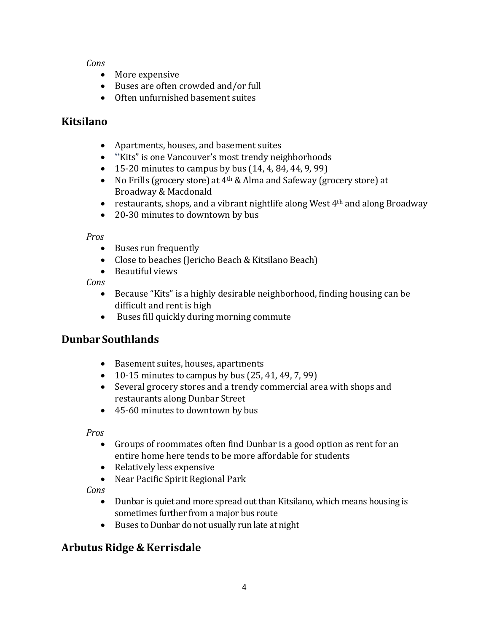#### *Cons*

- More expensive
- Buses are often crowded and/or full
- Often unfurnished basement suites

### **Kitsilano**

- Apartments, houses, and basement suites
- "Kits" is one Vancouver's most trendy neighborhoods
- $\bullet$  15-20 minutes to campus by bus  $(14, 4, 84, 44, 9, 99)$
- No Frills (grocery store) at  $4<sup>th</sup>$  & Alma and Safeway (grocery store) at Broadway & Macdonald
- restaurants, shops, and a vibrant nightlife along West  $4<sup>th</sup>$  and along Broadway
- 20-30 minutes to downtown by bus

#### *Pros*

- Buses run frequently
- Close to beaches (Jericho Beach & Kitsilano Beach)
- Beautiful views

*Cons*

- Because "Kits" is a highly desirable neighborhood, finding housing can be difficult and rent is high
- Buses fill quickly during morning commute

## **Dunbar Southlands**

- Basement suites, houses, apartments
- $\bullet$  10-15 minutes to campus by bus (25, 41, 49, 7, 99)
- Several grocery stores and a trendy commercial area with shops and restaurants along Dunbar Street
- 45-60 minutes to downtown by bus

*Pros*

- Groups of roommates often find Dunbar is a good option as rent for an entire home here tends to be more affordable for students
- Relatively less expensive
- Near Pacific Spirit Regional Park

*Cons*

- Dunbar is quiet and more spread out than Kitsilano, which means housing is sometimes further from a major bus route
- Buses to Dunbar do not usually run late at night

## **Arbutus Ridge & Kerrisdale**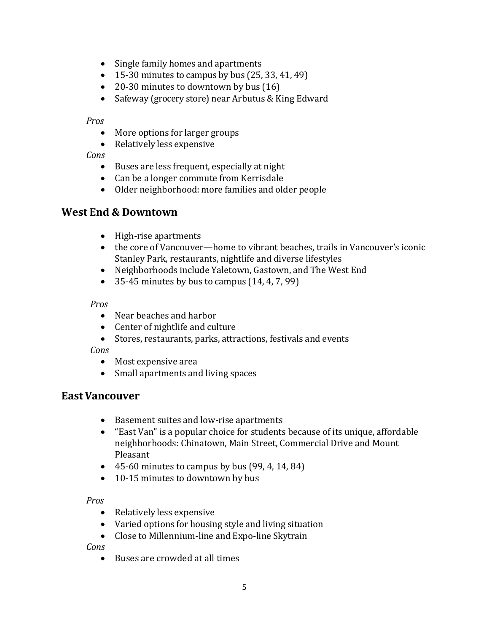- Single family homes and apartments
- $\bullet$  15-30 minutes to campus by bus (25, 33, 41, 49)
- 20-30 minutes to downtown by bus (16)
- Safeway (grocery store) near Arbutus & King Edward

#### *Pros*

- More options for larger groups
- Relatively less expensive

#### *Cons*

- Buses are less frequent, especially at night
- Can be a longer commute from Kerrisdale
- Older neighborhood: more families and older people

### **West End & Downtown**

- High-rise apartments
- the core of Vancouver—home to vibrant beaches, trails in Vancouver's iconic Stanley Park, restaurants, nightlife and diverse lifestyles
- Neighborhoods include Yaletown, Gastown, and The West End
- $\bullet$  35-45 minutes by bus to campus  $(14, 4, 7, 99)$

#### *Pros*

- Near beaches and harbor
- Center of nightlife and culture
- Stores, restaurants, parks, attractions, festivals and events

#### *Cons*

- Most expensive area
- Small apartments and living spaces

### **EastVancouver**

- Basement suites and low-rise apartments
- "East Van" is a popular choice for students because of its unique, affordable neighborhoods: Chinatown, Main Street, Commercial Drive and Mount Pleasant
- $\bullet$  45-60 minutes to campus by bus (99, 4, 14, 84)
- 10-15 minutes to downtown by bus

#### *Pros*

- Relatively less expensive
- Varied options for housing style and living situation
- Close to Millennium-line and Expo-line Skytrain

*Cons*

Buses are crowded at all times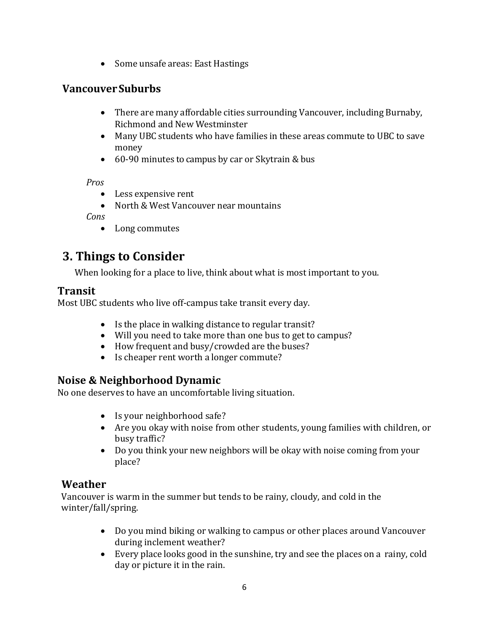• Some unsafe areas: East Hastings

## **VancouverSuburbs**

- There are many affordable cities surrounding Vancouver, including Burnaby, Richmond and New Westminster
- Many UBC students who have families in these areas commute to UBC to save money
- 60-90 minutes to campus by car or Skytrain & bus

#### *Pros*

- Less expensive rent
- North & West Vancouver near mountains

*Cons*

• Long commutes

# **3. Things to Consider**

When looking for a place to live, think about what is most important to you.

### **Transit**

Most UBC students who live off-campus take transit every day.

- Is the place in walking distance to regular transit?
- Will you need to take more than one bus to get to campus?
- How frequent and busy/crowded are the buses?
- Is cheaper rent worth a longer commute?

### **Noise & Neighborhood Dynamic**

No one deserves to have an uncomfortable living situation.

- Is your neighborhood safe?
- Are you okay with noise from other students, young families with children, or busy traffic?
- Do you think your new neighbors will be okay with noise coming from your place?

### **Weather**

Vancouver is warm in the summer but tends to be rainy, cloudy, and cold in the winter/fall/spring.

- Do you mind biking or walking to campus or other places around Vancouver during inclement weather?
- Every place looks good in the sunshine, try and see the places on a rainy, cold day or picture it in the rain.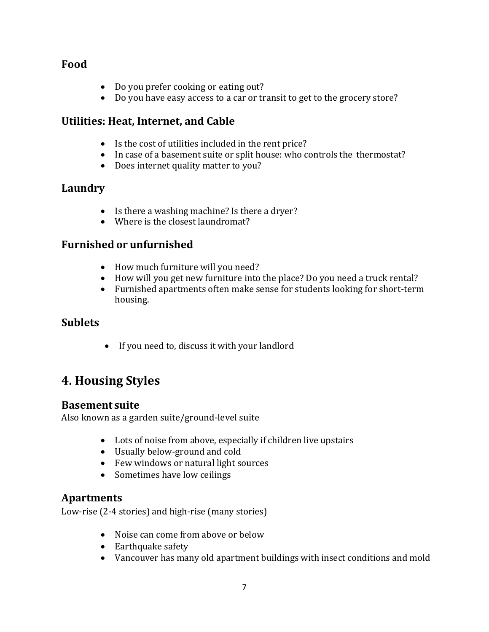## **Food**

- Do you prefer cooking or eating out?
- Do you have easy access to a car or transit to get to the grocery store?

## **Utilities: Heat, Internet, and Cable**

- Is the cost of utilities included in the rent price?
- In case of a basement suite or split house: who controls the thermostat?
- Does internet quality matter to you?

## **Laundry**

- Is there a washing machine? Is there a dryer?
- Where is the closest laundromat?

## **Furnished or unfurnished**

- How much furniture will you need?
- How will you get new furniture into the place? Do you need a truck rental?
- Furnished apartments often make sense for students looking for short-term housing.

## **Sublets**

If you need to, discuss it with your landlord

# **4. Housing Styles**

### **Basement suite**

Also known as a garden suite/ground-level suite

- Lots of noise from above, especially if children live upstairs
- Usually below-ground and cold
- Few windows or natural light sources
- Sometimes have low ceilings

### **Apartments**

Low-rise (2-4 stories) and high-rise (many stories)

- Noise can come from above or below
- Earthquake safety
- Vancouver has many old apartment buildings with insect conditions and mold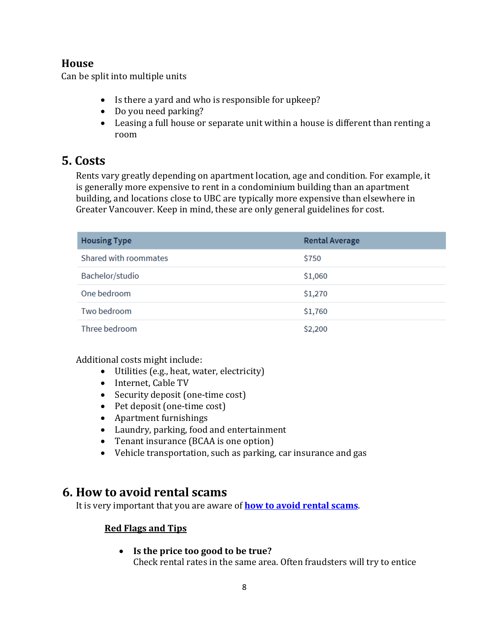## **House**

Can be split into multiple units

- Is there a yard and who is responsible for upkeep?
- Do you need parking?
- Leasing a full house or separate unit within a house is different than renting a room

# **5. Costs**

Rents vary greatly depending on apartment location, age and condition. For example, it is generally more expensive to rent in a condominium building than an apartment building, and locations close to UBC are typically more expensive than elsewhere in Greater Vancouver. Keep in mind, these are only general guidelines for cost.

| <b>Housing Type</b>   | <b>Rental Average</b> |
|-----------------------|-----------------------|
| Shared with roommates | \$750                 |
| Bachelor/studio       | \$1,060               |
| One bedroom           | \$1,270               |
| Two bedroom           | \$1,760               |
| Three bedroom         | \$2,200               |

Additional costs might include:

- Utilities (e.g., heat, water, electricity)
- Internet, Cable TV
- Security deposit (one-time cost)
- Pet deposit (one-time cost)
- Apartment furnishings
- Laundry, parking, food and entertainment
- Tenant insurance (BCAA is one option)
- Vehicle transportation, such as parking, car insurance and gas

# **6. How to avoid rental scams**

It is very important that you are aware of **[how to avoid rental scams](http://vancouver.ca/police/crime-prevention/for-individuals/preventing-fraud.html)**.

### **Red Flags and Tips**

 **Is the price too good to be true?** Check rental rates in the same area. Often fraudsters will try to entice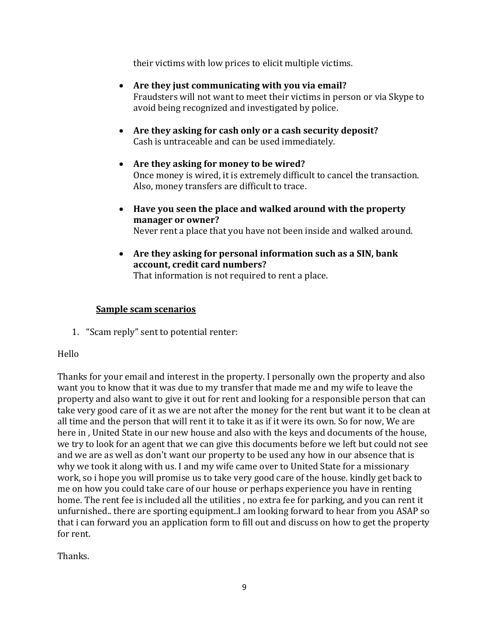their victims with low prices to elicit multiple victims.

- **Are they just communicating with you via email?** Fraudsters will not want to meet their victims in person or via Skype to avoid being recognized and investigated by police.
- **Are they asking for cash only or a cash security deposit?** Cash is untraceable and can be used immediately.
- **Are they asking for money to be wired?** Once money is wired, it is extremely difficult to cancel the transaction. Also, money transfers are difficult to trace.
- **Have you seen the place and walked around with the property manager or owner?** Never rent a place that you have not been inside and walked around.
- **Are they asking for personal information such as a SIN, bank account, credit card numbers?**

That information is not required to rent a place.

#### **Sample scam scenarios**

1. "Scam reply" sent to potential renter:

#### Hello

Thanks for your email and interest in the property. I personally own the property and also want you to know that it was due to my transfer that made me and my wife to leave the property and also want to give it out for rent and looking for a responsible person that can take very good care of it as we are not after the money for the rent but want it to be clean at all time and the person that will rent it to take it as if it were its own. So for now, We are here in , United State in our new house and also with the keys and documents of the house, we try to look for an agent that we can give this documents before we left but could not see and we are as well as don't want our property to be used any how in our absence that is why we took it along with us. I and my wife came over to United State for a missionary work, so i hope you will promise us to take very good care of the house. kindly get back to me on how you could take care of our house or perhaps experience you have in renting home. The rent fee is included all the utilities , no extra fee for parking, and you can rent it unfurnished.. there are sporting equipment..I am looking forward to hear from you ASAP so that i can forward you an application form to fill out and discuss on how to get the property for rent.

Thanks.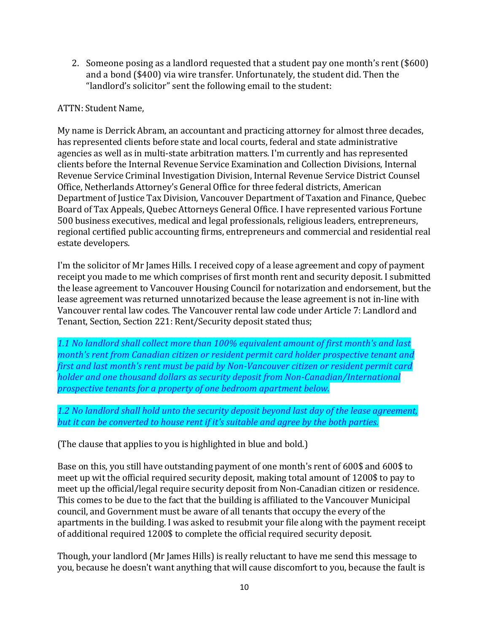2. Someone posing as a landlord requested that a student pay one month's rent (\$600) and a bond (\$400) via wire transfer. Unfortunately, the student did. Then the "landlord's solicitor" sent the following email to the student:

#### ATTN: Student Name,

My name is Derrick Abram, an accountant and practicing attorney for almost three decades, has represented clients before state and local courts, federal and state administrative agencies as well as in multi-state arbitration matters. I'm currently and has represented clients before the Internal Revenue Service Examination and Collection Divisions, Internal Revenue Service Criminal Investigation Division, Internal Revenue Service District Counsel Office, Netherlands Attorney's General Office for three federal districts, American Department of Justice Tax Division, Vancouver Department of Taxation and Finance, Quebec Board of Tax Appeals, Quebec Attorneys General Office. I have represented various Fortune 500 business executives, medical and legal professionals, religious leaders, entrepreneurs, regional certified public accounting firms, entrepreneurs and commercial and residential real estate developers.

I'm the solicitor of Mr James Hills. I received copy of a lease agreement and copy of payment receipt you made to me which comprises of first month rent and security deposit. I submitted the lease agreement to Vancouver Housing Council for notarization and endorsement, but the lease agreement was returned unnotarized because the lease agreement is not in-line with Vancouver rental law codes. The Vancouver rental law code under Article 7: Landlord and Tenant, Section, Section 221: Rent/Security deposit stated thus;

*1.1 No landlord shall collect more than 100% equivalent amount of first month's and last month's rent from Canadian citizen or resident permit card holder prospective tenant and first and last month's rent must be paid by Non-Vancouver citizen or resident permit card holder and one thousand dollars as security deposit from Non-Canadian/International prospective tenants for a property of one bedroom apartment below.*

*1.2 No landlord shall hold unto the security deposit beyond last day of the lease agreement, but it can be converted to house rent if it's suitable and agree by the both parties.*

(The clause that applies to you is highlighted in blue and bold.)

Base on this, you still have outstanding payment of one month's rent of 600\$ and 600\$ to meet up wit the official required security deposit, making total amount of 1200\$ to pay to meet up the official/legal require security deposit from Non-Canadian citizen or residence. This comes to be due to the fact that the building is affiliated to the Vancouver Municipal council, and Government must be aware of all tenants that occupy the every of the apartments in the building. I was asked to resubmit your file along with the payment receipt of additional required 1200\$ to complete the official required security deposit.

Though, your landlord (Mr James Hills) is really reluctant to have me send this message to you, because he doesn't want anything that will cause discomfort to you, because the fault is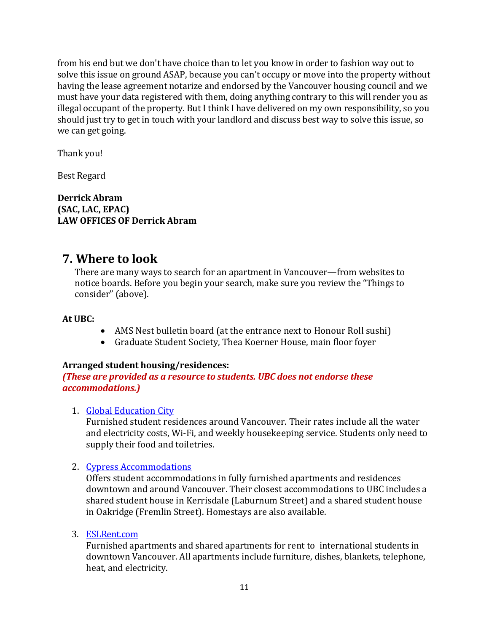from his end but we don't have choice than to let you know in order to fashion way out to solve this issue on ground ASAP, because you can't occupy or move into the property without having the lease agreement notarize and endorsed by the Vancouver housing council and we must have your data registered with them, doing anything contrary to this will render you as illegal occupant of the property. But I think I have delivered on my own responsibility, so you should just try to get in touch with your landlord and discuss best way to solve this issue, so we can get going.

Thank you!

Best Regard

#### **Derrick Abram (SAC, LAC, EPAC) LAW OFFICES OF Derrick Abram**

# **7. Where to look**

There are many ways to search for an apartment in Vancouver—from websites to notice boards. Before you begin your search, make sure you review the "Things to consider" (above).

### **At UBC:**

- AMS Nest bulletin board (at the entrance next to Honour Roll sushi)
- Graduate Student Society, Thea Koerner House, main floor foyer

### **Arranged student housing/residences:**

*(These are provided as a resource to students. UBC does not endorse these accommodations.)*

1. [Global Education City](http://studenthotel.ca/)

Furnished student residences around Vancouver. Their rates include all the water and electricity costs, Wi-Fi, and weekly housekeeping service. Students only need to supply their food and toiletries.

2. [Cypress Accommodations](https://www.cypressaccommodations.com/)

Offers student accommodations in fully furnished apartments and residences downtown and around Vancouver. Their closest accommodations to UBC includes a shared student house in Kerrisdale (Laburnum Street) and a shared student house in Oakridge (Fremlin Street). Homestays are also available.

3. [ESLRent.com](http://www.eslrent.com/)

Furnished apartments and shared apartments for rent to international students in downtown Vancouver. All apartments include furniture, dishes, blankets, telephone, heat, and electricity.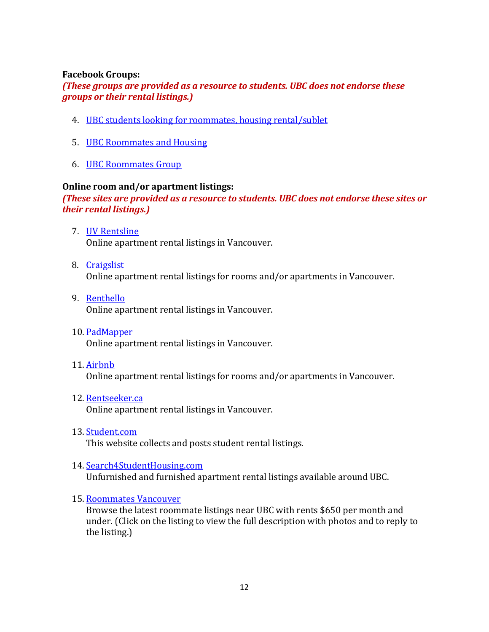#### **Facebook Groups:**

*(These groups are provided as a resource to students. UBC does not endorse these groups or their rental listings.)*

- 4. [UBC students looking for roommates, housing rental/sublet](https://www.facebook.com/groups/UBC.roommates/)
- 5. [UBC Roommates and Housing](https://www.facebook.com/groups/850121808336687/)
- 6. [UBC Roommates Group](https://www.facebook.com/groups/UBC.Room.Rental.Exchange/?ref=group_header)

#### **Online room and/or apartment listings:**

*(These sites are provided as a resource to students. UBC does not endorse these sites or their rental listings.)*

- 7. [UV Rentsline](http://www.uvrentsline.com/) Online apartment rental listings in Vancouver.
- 8. [Craigslist](https://vancouver.craigslist.ca/search/apa) Online apartment rental listings for rooms and/or apartments in Vancouver.
- 9. [Renthello](https://renthello.com/North-America/Canada/British-Columbia/Vancouver/) Online apartment rental listings in Vancouver.
- 10. [PadMapper](https://www.padmapper.com/apartments/vancouver-bc) Online apartment rental listings in Vancouver.
- 11. [Airbnb](https://www.airbnb.ca/s/Vancouver--BC/homes?refinement_path=%2Fhomes&allow_override%5B%5D=&ne_lat=49.346147904932224&ne_lng=-123.05444445310957&sw_lat=49.18490882669494&sw_lng=-123.26284136473066&zoom=12&search_by_map=true&s_tag=qz1NPN2L)

Online apartment rental listings for rooms and/or apartments in Vancouver.

12. [Rentseeker.ca](http://www.rentseeker.ca/Vancouver.aspx?page=all) 

Online apartment rental listings in Vancouver.

13. [Student.com](https://www.student.com/ca/vancouver/u/university-of-british-columbia)

This website collects and posts student rental listings.

- 14. [Search4StudentHousing.com](https://www.search4studenthousing.com/) Unfurnished and furnished apartment rental listings available around UBC.
- 15. [Roommates Vancouver](http://roommatesvancouver.com/ubc-roommates.php)

Browse the latest roommate listings near UBC with rents \$650 per month and under. (Click on the listing to view the full description with photos and to reply to the listing.)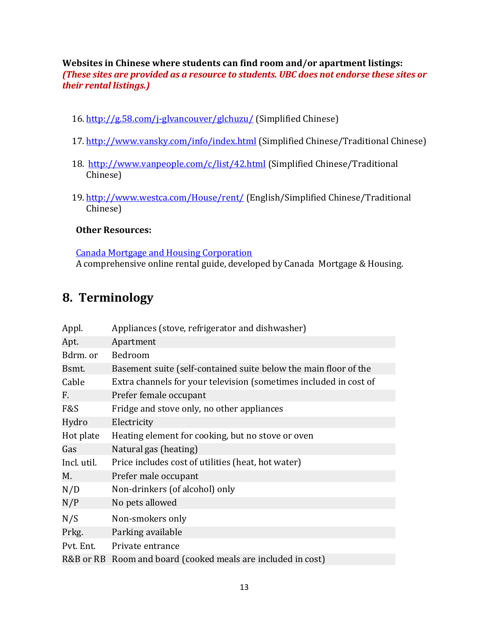**Websites in Chinese where students can find room and/or apartment listings:** *(These sites are provided as a resource to students. UBC does not endorse these sites or their rental listings.)*

- 16. <http://g.58.com/j-glvancouver/glchuzu/> (Simplified Chinese)
- 17. <http://www.vansky.com/info/index.html> (Simplified Chinese/Traditional Chinese)
- 18. <http://www.vanpeople.com/c/list/42.html> (Simplified Chinese/Traditional Chinese)
- 19. <http://www.westca.com/House/rent/> (English/Simplified Chinese/Traditional Chinese)

#### **Other Resources:**

[Canada Mortgage and Housing Corporation](https://www.cmhc-schl.gc.ca/en/co/reho/index.cfm) A comprehensive online rental guide, developed by Canada Mortgage & Housing.

## **8. Terminology**

| Appl.       | Appliances (stove, refrigerator and dishwasher)                   |
|-------------|-------------------------------------------------------------------|
| Apt.        | Apartment                                                         |
| Bdrm. or    | Bedroom                                                           |
| Bsmt.       | Basement suite (self-contained suite below the main floor of the  |
| Cable       | Extra channels for your television (sometimes included in cost of |
| F.          | Prefer female occupant                                            |
| F&S         | Fridge and stove only, no other appliances                        |
| Hydro       | Electricity                                                       |
| Hot plate   | Heating element for cooking, but no stove or oven                 |
| Gas         | Natural gas (heating)                                             |
| Incl. util. | Price includes cost of utilities (heat, hot water)                |
| M.          | Prefer male occupant                                              |
| N/D         | Non-drinkers (of alcohol) only                                    |
| N/P         | No pets allowed                                                   |
| N/S         | Non-smokers only                                                  |
| Prkg.       | Parking available                                                 |
| Pvt. Ent.   | Private entrance                                                  |
|             | R&B or RB Room and board (cooked meals are included in cost)      |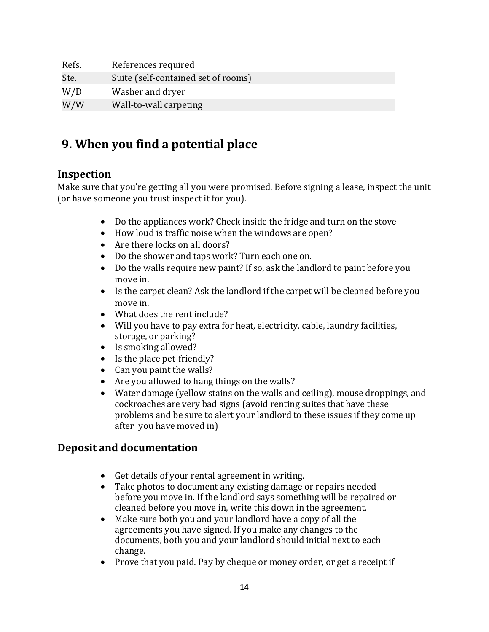| Refs. | References required                 |
|-------|-------------------------------------|
| Ste.  | Suite (self-contained set of rooms) |
| W/D   | Washer and dryer                    |
| W/W   | Wall-to-wall carpeting              |

# **9. When you find a potential place**

## **Inspection**

Make sure that you're getting all you were promised. Before signing a lease, inspect the unit (or have someone you trust inspect it for you).

- Do the appliances work? Check inside the fridge and turn on the stove
- How loud is traffic noise when the windows are open?
- Are there locks on all doors?
- Do the shower and taps work? Turn each one on.
- Do the walls require new paint? If so, ask the landlord to paint before you move in.
- Is the carpet clean? Ask the landlord if the carpet will be cleaned before you move in.
- What does the rent include?
- Will you have to pay extra for heat, electricity, cable, laundry facilities, storage, or parking?
- Is smoking allowed?
- Is the place pet-friendly?
- Can you paint the walls?
- Are you allowed to hang things on the walls?
- Water damage (yellow stains on the walls and ceiling), mouse droppings, and cockroaches are very bad signs (avoid renting suites that have these problems and be sure to alert your landlord to these issues if they come up after you have moved in)

## **Deposit and documentation**

- Get details of your rental agreement in writing.
- Take photos to document any existing damage or repairs needed before you move in. If the landlord says something will be repaired or cleaned before you move in, write this down in the agreement.
- Make sure both you and your landlord have a copy of all the agreements you have signed. If you make any changes to the documents, both you and your landlord should initial next to each change.
- Prove that you paid. Pay by cheque or money order, or get a receipt if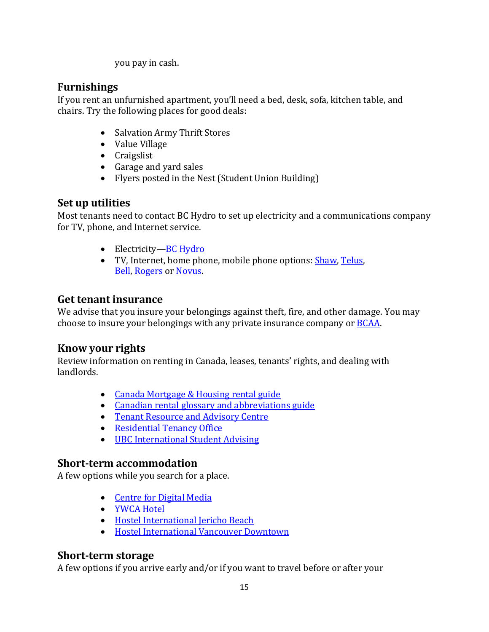you pay in cash.

## **Furnishings**

If you rent an unfurnished apartment, you'll need a bed, desk, sofa, kitchen table, and chairs. Try the following places for good deals:

- Salvation Army Thrift Stores
- Value Village
- Craigslist
- Garage and yard sales
- Flyers posted in the Nest (Student Union Building)

## **Set up utilities**

Most tenants need to contact BC Hydro to set up electricity and a communications company for TV, phone, and Internet service.

- $\bullet$  Electricity—**BC** Hydro
- TV, Internet, home phone, mobile phone options: [Shaw,](https://www.shaw.ca/television/) [Telus,](http://www.telus.com/en/bc/index.jsp) [Bell,](https://www.bell.ca/) [Rogers](https://www.rogers.com/consumer/home) o[r Novus.](http://www.novusnow.ca/)

# **Get tenant insurance**

We advise that you insure your belongings against theft, fire, and other damage. You may choose to insure your belongings with any private insurance company or [BCAA.](http://www.bcaa.com/)

# **Know your rights**

Review information on renting in Canada, leases, tenants' rights, and dealing with landlords.

- [Canada Mortgage & Housing rental guide](https://www.cmhc-schl.gc.ca/en/co/reho/index.cfm)
- [Canadian rental glossary and abbreviations guide](https://www.cmhc-schl.gc.ca/en/co/reho/yogureho/yogureho_001.cfm)
- [Tenant Resource and Advisory Centre](http://tenants.bc.ca/)
- [Residential Tenancy Office](https://www2.gov.bc.ca/gov/content/housing-tenancy/residential-tenancies)
- [UBC International Student Advising](https://students.ubc.ca/about-student-services/international-student-development)

## **Short-term accommodation**

A few options while you search for a place.

- [Centre for Digital Media](https://thecdm.ca/student-apartments)
- [YWCA Hotel](https://ywcavan.org/hotel)
- [Hostel International Jericho](http://hihostels.ca/en/destinations/british-columbia/hi-vancouver-jericho-beach) Beach
- [Hostel International Vancouver Downtown](http://hihostels.ca/en/destinations/british-columbia/hi-vancouver-downtown)

## **Short-term storage**

A few options if you arrive early and/or if you want to travel before or after your